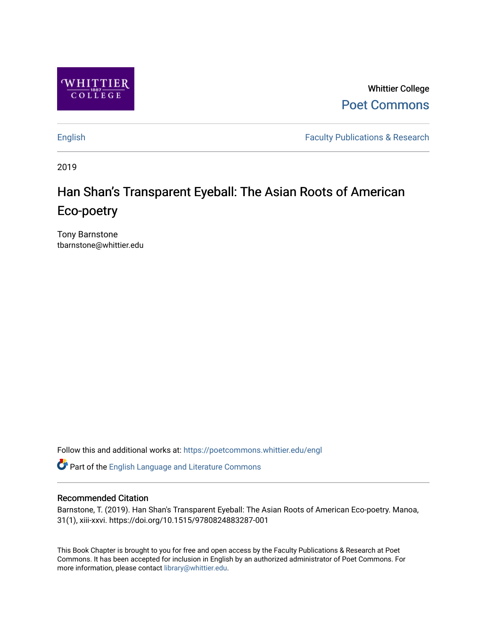

Whittier College [Poet Commons](https://poetcommons.whittier.edu/) 

[English](https://poetcommons.whittier.edu/engl) [Faculty Publications & Research](https://poetcommons.whittier.edu/faculty) 

2019

# Han Shan's Transparent Eyeball: The Asian Roots of American Eco-poetry

Tony Barnstone tbarnstone@whittier.edu

Follow this and additional works at: [https://poetcommons.whittier.edu/engl](https://poetcommons.whittier.edu/engl?utm_source=poetcommons.whittier.edu%2Fengl%2F1&utm_medium=PDF&utm_campaign=PDFCoverPages)

Part of the [English Language and Literature Commons](http://network.bepress.com/hgg/discipline/455?utm_source=poetcommons.whittier.edu%2Fengl%2F1&utm_medium=PDF&utm_campaign=PDFCoverPages)

# Recommended Citation

Barnstone, T. (2019). Han Shan's Transparent Eyeball: The Asian Roots of American Eco-poetry. Manoa, 31(1), xiii-xxvi. https://doi.org/10.1515/9780824883287-001

This Book Chapter is brought to you for free and open access by the Faculty Publications & Research at Poet Commons. It has been accepted for inclusion in English by an authorized administrator of Poet Commons. For more information, please contact [library@whittier.edu.](mailto:library@whittier.edu)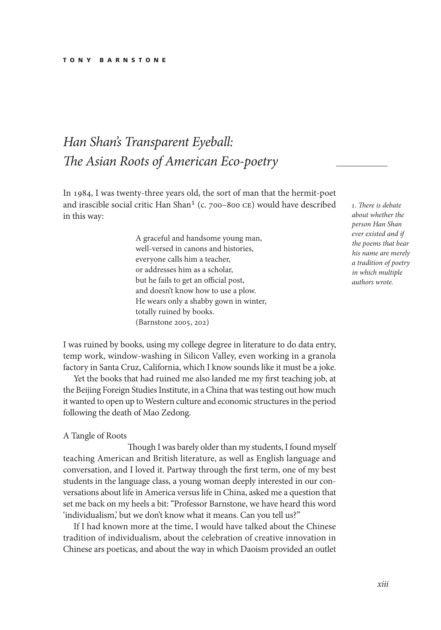# *The Asian Roots of American Eco-poetry Han Shan's Transparent Eyeball:*

In 1984, I was twenty-three years old, the sort of man that the hermit-poet and irascible social critic Han Shan<sup>1</sup> (c. 700–800 CE) would have described in this way:

> A graceful and handsome young man, well-versed in canons and histories, everyone calls him a teacher, or addresses him as a scholar, but he fails to get an official post, and doesn't know how to use a plow. He wears only a shabby gown in winter, totally ruined by books. (Barnstone 2005, 202)

*1. There is debate about whether the person Han Shan ever existed and if the poems that bear his name are merely a tradition of poetry in which multiple authors wrote.* 

I was ruined by books, using my college degree in literature to do data entry, temp work, window-washing in Silicon Valley, even working in a granola factory in Santa Cruz, California, which I know sounds like it must be a joke.

Yet the books that had ruined me also landed me my first teaching job, at the Beijing Foreign Studies Institute, in a China that was testing out how much it wanted to open up to Western culture and economic structures in the period following the death of Mao Zedong.

# A Tangle of Roots

Though I was barely older than my students, I found myself teaching American and British literature, as well as English language and conversation, and I loved it. Partway through the first term, one of my best students in the language class, a young woman deeply interested in our conversations about life in America versus life in China, asked me a question that set me back on my heels a bit: "Professor Barnstone, we have heard this word 'individualism,' but we don't know what it means. Can you tell us?"

If I had known more at the time, I would have talked about the Chinese tradition of individualism, about the celebration of creative innovation in Chinese ars poeticas, and about the way in which Daoism provided an outlet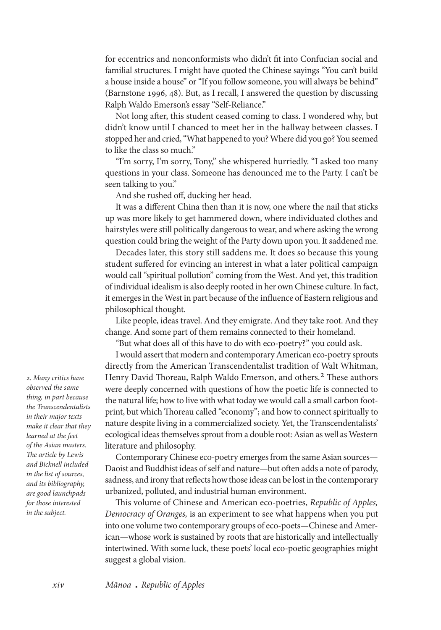for eccentrics and nonconformists who didn't fit into Confucian social and familial structures. I might have quoted the Chinese sayings "You can't build a house inside a house" or "If you follow someone, you will always be behind" (Barnstone 1996, 48). But, as I recall, I answered the question by discussing Ralph Waldo Emerson's essay "Self-Reliance."

Not long after, this student ceased coming to class. I wondered why, but didn't know until I chanced to meet her in the hallway between classes. I stopped her and cried, "What happened to you? Where did you go? You seemed to like the class so much."

"I'm sorry, I'm sorry, Tony," she whispered hurriedly. "I asked too many questions in your class. Someone has denounced me to the Party. I can't be seen talking to you."

And she rushed off, ducking her head.

It was a different China then than it is now, one where the nail that sticks up was more likely to get hammered down, where individuated clothes and hairstyles were still politically dangerous to wear, and where asking the wrong question could bring the weight of the Party down upon you. It saddened me.

Decades later, this story still saddens me. It does so because this young student suffered for evincing an interest in what a later political campaign would call "spiritual pollution" coming from the West. And yet, this tradition of individual idealism is also deeply rooted in her own Chinese culture. In fact, it emerges in the West in part because of the influence of Eastern religious and philosophical thought.

Like people, ideas travel. And they emigrate. And they take root. And they change. And some part of them remains connected to their homeland.

"But what does all of this have to do with eco-poetry?" you could ask.

I would assert that modern and contemporary American eco-poetry sprouts directly from the American Transcendentalist tradition of Walt Whitman, Henry David Thoreau, Ralph Waldo Emerson, and others.<sup>2</sup> These authors were deeply concerned with questions of how the poetic life is connected to the natural life; how to live with what today we would call a small carbon footprint, but which Thoreau called "economy"; and how to connect spiritually to nature despite living in a commercialized society. Yet, the Transcendentalists' ecological ideas themselves sprout from a double root: Asian as well as Western literature and philosophy.

Contemporary Chinese eco-poetry emerges from the same Asian sources— Daoist and Buddhist ideas of self and nature—but often adds a note of parody, sadness, and irony that reflects how those ideas can be lost in the contemporary urbanized, polluted, and industrial human environment.

This volume of Chinese and American eco-poetries, *Republic of Apples, Democracy of Oranges,* is an experiment to see what happens when you put into one volume two contemporary groups of eco-poets—Chinese and American—whose work is sustained by roots that are historically and intellectually intertwined. With some luck, these poets' local eco-poetic geographies might suggest a global vision.

*2. Many critics have observed the same thing, in part because the Transcendentalists in their major texts make it clear that they learned at the feet of the Asian masters. The article by Lewis and Bicknell included in the list of sources, and its bibliography, are good launchpads for those interested in the subject.*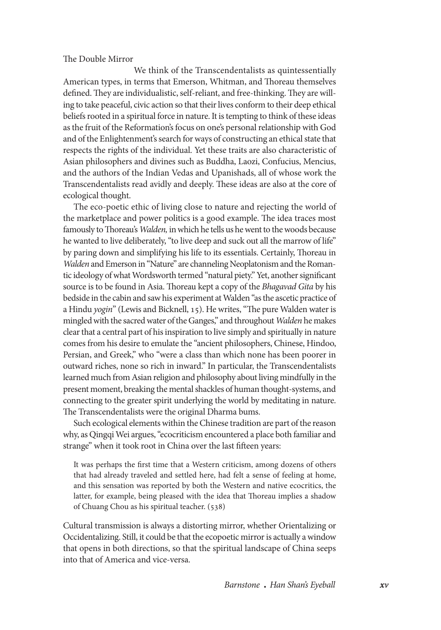# The Double Mirror

We think of the Transcendentalists as quintessentially American types, in terms that Emerson, Whitman, and Thoreau themselves defined. They are individualistic, self-reliant, and free-thinking. They are willing to take peaceful, civic action so that their lives conform to their deep ethical beliefs rooted in a spiritual force in nature. It is tempting to think of these ideas as the fruit of the Reformation's focus on one's personal relationship with God and of the Enlightenment's search for ways of constructing an ethical state that respects the rights of the individual. Yet these traits are also characteristic of Asian philosophers and divines such as Buddha, Laozi, Confucius, Mencius, and the authors of the Indian Vedas and Upanishads, all of whose work the Transcendentalists read avidly and deeply. These ideas are also at the core of ecological thought.

 learned much from Asian religion and philosophy about living mindfully in the The eco-poetic ethic of living close to nature and rejecting the world of the marketplace and power politics is a good example. The idea traces most famously to Thoreau's *Walden,* in which he tells us he went to the woods because he wanted to live deliberately, "to live deep and suck out all the marrow of life" by paring down and simplifying his life to its essentials. Certainly, Thoreau in *Walden* and Emerson in "Nature" are channeling Neoplatonism and the Romantic ideology of what Wordsworth termed "natural piety." Yet, another significant source is to be found in Asia. Thoreau kept a copy of the *Bhagavad Gita* by his bedside in the cabin and saw his experiment at Walden "as the ascetic practice of a Hindu *yogin*" (Lewis and Bicknell, 15). He writes, "The pure Walden water is mingled with the sacred water of the Ganges," and throughout *Walden* he makes clear that a central part of his inspiration to live simply and spiritually in nature comes from his desire to emulate the "ancient philosophers, Chinese, Hindoo, Persian, and Greek," who "were a class than which none has been poorer in outward riches, none so rich in inward." In particular, the Transcendentalists present moment, breaking the mental shackles of human thought-systems, and connecting to the greater spirit underlying the world by meditating in nature. The Transcendentalists were the original Dharma bums.

Such ecological elements within the Chinese tradition are part of the reason why, as Qingqi Wei argues, "ecocriticism encountered a place both familiar and strange" when it took root in China over the last fifteen years:

It was perhaps the first time that a Western criticism, among dozens of others that had already traveled and settled here, had felt a sense of feeling at home, and this sensation was reported by both the Western and native ecocritics, the latter, for example, being pleased with the idea that Thoreau implies a shadow of Chuang Chou as his spiritual teacher. (538)

Cultural transmission is always a distorting mirror, whether Orientalizing or Occidentalizing. Still, it could be that the ecopoetic mirror is actually a window that opens in both directions, so that the spiritual landscape of China seeps into that of America and vice-versa.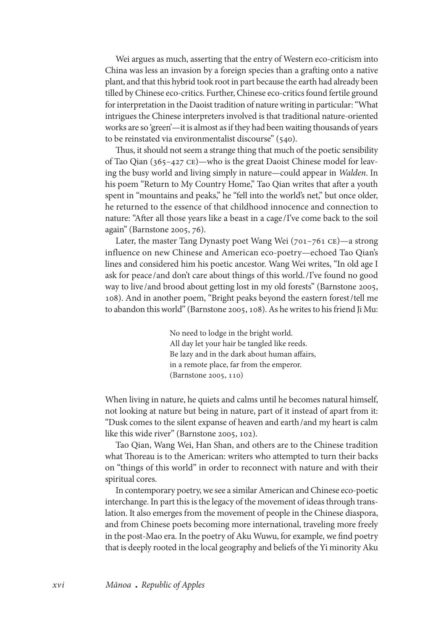Wei argues as much, asserting that the entry of Western eco-criticism into China was less an invasion by a foreign species than a grafting onto a native plant, and that this hybrid took root in part because the earth had already been tilled by Chinese eco-critics. Further, Chinese eco-critics found fertile ground for interpretation in the Daoist tradition of nature writing in particular: "What intrigues the Chinese interpreters involved is that traditional nature-oriented works are so 'green'—it is almost as if they had been waiting thousands of years to be reinstated via environmentalist discourse" (540).

 nature: "After all those years like a beast in a cage /I've come back to the soil Thus, it should not seem a strange thing that much of the poetic sensibility of Tao Qian (365–427 ce)—who is the great Daoist Chinese model for leaving the busy world and living simply in nature—could appear in *Walden*. In his poem "Return to My Country Home," Tao Qian writes that after a youth spent in "mountains and peaks," he "fell into the world's net," but once older, he returned to the essence of that childhood innocence and connection to again" (Barnstone 2005, 76).

 ask for peace /and don't care about things of this world. /I've found no good way to live /and brood about getting lost in my old forests" (Barnstone 2005, 108). And in another poem, "Bright peaks beyond the eastern forest /tell me Later, the master Tang Dynasty poet Wang Wei (701–761 ce)—a strong influence on new Chinese and American eco-poetry—echoed Tao Qian's lines and considered him his poetic ancestor. Wang Wei writes, "In old age I to abandon this world" (Barnstone 2005, 108). As he writes to his friend Ji Mu:

> No need to lodge in the bright world. All day let your hair be tangled like reeds. Be lazy and in the dark about human affairs, in a remote place, far from the emperor. (Barnstone 2005, 110)

 "Dusk comes to the silent expanse of heaven and earth /and my heart is calm When living in nature, he quiets and calms until he becomes natural himself, not looking at nature but being in nature, part of it instead of apart from it: like this wide river" (Barnstone 2005, 102).

Tao Qian, Wang Wei, Han Shan, and others are to the Chinese tradition what Thoreau is to the American: writers who attempted to turn their backs on "things of this world" in order to reconnect with nature and with their spiritual cores.

In contemporary poetry, we see a similar American and Chinese eco-poetic interchange. In part this is the legacy of the movement of ideas through translation. It also emerges from the movement of people in the Chinese diaspora, and from Chinese poets becoming more international, traveling more freely in the post-Mao era. In the poetry of Aku Wuwu, for example, we find poetry that is deeply rooted in the local geography and beliefs of the Yi minority Aku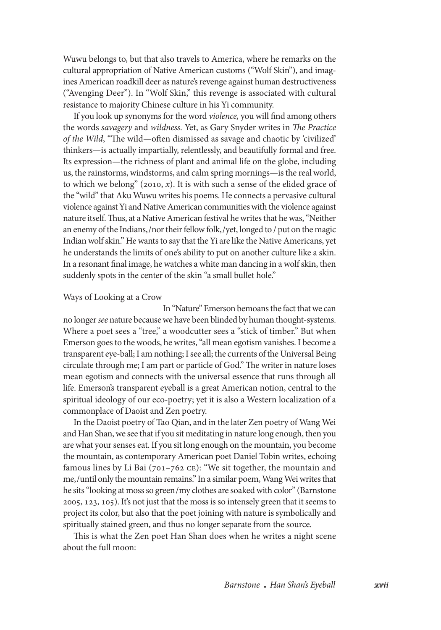Wuwu belongs to, but that also travels to America, where he remarks on the cultural appropriation of Native American customs ("Wolf Skin"), and imagines American roadkill deer as nature's revenge against human destructiveness ("Avenging Deer"). In "Wolf Skin," this revenge is associated with cultural resistance to majority Chinese culture in his Yi community.

 the words *savagery* and *wildness.* Yet, as Gary Snyder writes in *The Practice*  an enemy of the Indians,/nor their fellow folk,/yet, longed to / put on the magic If you look up synonyms for the word *violence,* you will find among others *of the Wild*, "The wild—often dismissed as savage and chaotic by 'civilized' thinkers—is actually impartially, relentlessly, and beautifully formal and free. Its expression—the richness of plant and animal life on the globe, including us, the rainstorms, windstorms, and calm spring mornings—is the real world, to which we belong" (2010, *x*). It is with such a sense of the elided grace of the "wild" that Aku Wuwu writes his poems. He connects a pervasive cultural violence against Yi and Native American communities with the violence against nature itself. Thus, at a Native American festival he writes that he was, "Neither Indian wolf skin." He wants to say that the Yi are like the Native Americans, yet he understands the limits of one's ability to put on another culture like a skin. In a resonant final image, he watches a white man dancing in a wolf skin, then suddenly spots in the center of the skin "a small bullet hole."

### Ways of Looking at a Crow

 no longer *see* nature because we have been blinded by human thought-systems. In "Nature" Emerson bemoans the fact that we can Where a poet sees a "tree," a woodcutter sees a "stick of timber." But when Emerson goes to the woods, he writes, "all mean egotism vanishes. I become a transparent eye-ball; I am nothing; I see all; the currents of the Universal Being circulate through me; I am part or particle of God." The writer in nature loses mean egotism and connects with the universal essence that runs through all life. Emerson's transparent eyeball is a great American notion, central to the spiritual ideology of our eco-poetry; yet it is also a Western localization of a commonplace of Daoist and Zen poetry.

 me,/until only the mountain remains." In a similar poem, Wang Wei writes that he sits "looking at moss so green /my clothes are soaked with color" (Barnstone In the Daoist poetry of Tao Qian, and in the later Zen poetry of Wang Wei and Han Shan, we see that if you sit meditating in nature long enough, then you are what your senses eat. If you sit long enough on the mountain, you become the mountain, as contemporary American poet Daniel Tobin writes, echoing famous lines by Li Bai (701–762 ce): "We sit together, the mountain and 2005, 123, 105). It's not just that the moss is so intensely green that it seems to project its color, but also that the poet joining with nature is symbolically and spiritually stained green, and thus no longer separate from the source.

This is what the Zen poet Han Shan does when he writes a night scene about the full moon: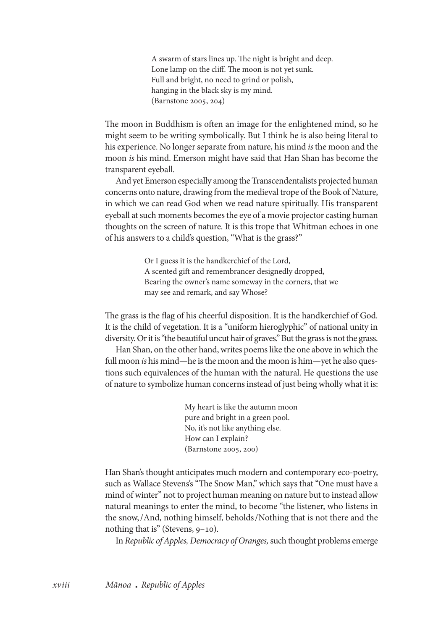A swarm of stars lines up. The night is bright and deep. Lone lamp on the cliff. The moon is not yet sunk. Full and bright, no need to grind or polish, hanging in the black sky is my mind. (Barnstone 2005, 204)

The moon in Buddhism is often an image for the enlightened mind, so he might seem to be writing symbolically. But I think he is also being literal to his experience. No longer separate from nature, his mind *is* the moon and the moon *is* his mind. Emerson might have said that Han Shan has become the transparent eyeball.

And yet Emerson especially among the Transcendentalists projected human concerns onto nature, drawing from the medieval trope of the Book of Nature, in which we can read God when we read nature spiritually. His transparent eyeball at such moments becomes the eye of a movie projector casting human thoughts on the screen of nature. It is this trope that Whitman echoes in one of his answers to a child's question, "What is the grass?"

> Or I guess it is the handkerchief of the Lord, A scented gift and remembrancer designedly dropped, Bearing the owner's name someway in the corners, that we may see and remark, and say Whose?

The grass is the flag of his cheerful disposition. It is the handkerchief of God. It is the child of vegetation. It is a "uniform hieroglyphic" of national unity in diversity. Or it is "the beautiful uncut hair of graves." But the grass is not the grass.

 of nature to symbolize human concerns instead of just being wholly what it is: Han Shan, on the other hand, writes poems like the one above in which the full moon *is* his mind—he is the moon and the moon is him—yet he also questions such equivalences of the human with the natural. He questions the use

> My heart is like the autumn moon pure and bright in a green pool. No, it's not like anything else. How can I explain? (Barnstone 2005, 200)

 the snow, /And, nothing himself, beholds /Nothing that is not there and the Han Shan's thought anticipates much modern and contemporary eco-poetry, such as Wallace Stevens's "The Snow Man," which says that "One must have a mind of winter" not to project human meaning on nature but to instead allow natural meanings to enter the mind, to become "the listener, who listens in nothing that is" (Stevens, 9–10).

In *Republic of Apples, Democracy of Oranges,* such thought problems emerge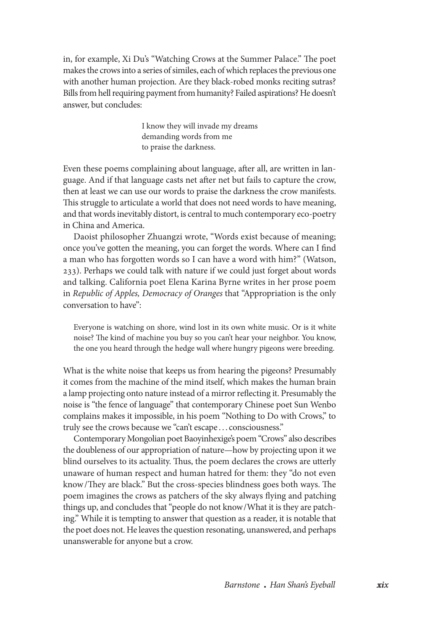in, for example, Xi Du's "Watching Crows at the Summer Palace." The poet makes the crows into a series of similes, each of which replaces the previous one with another human projection. Are they black-robed monks reciting sutras? Bills from hell requiring payment from humanity? Failed aspirations? He doesn't answer, but concludes:

> I know they will invade my dreams demanding words from me to praise the darkness.

Even these poems complaining about language, after all, are written in language. And if that language casts net after net but fails to capture the crow, then at least we can use our words to praise the darkness the crow manifests. This struggle to articulate a world that does not need words to have meaning, and that words inevitably distort, is central to much contemporary eco-poetry in China and America.

Daoist philosopher Zhuangzi wrote, "Words exist because of meaning; once you've gotten the meaning, you can forget the words. Where can I find a man who has forgotten words so I can have a word with him?" (Watson, 233). Perhaps we could talk with nature if we could just forget about words and talking. California poet Elena Karina Byrne writes in her prose poem in *Republic of Apples, Democracy of Oranges* that "Appropriation is the only conversation to have":

Everyone is watching on shore, wind lost in its own white music. Or is it white noise? The kind of machine you buy so you can't hear your neighbor. You know, the one you heard through the hedge wall where hungry pigeons were breeding.

What is the white noise that keeps us from hearing the pigeons? Presumably it comes from the machine of the mind itself, which makes the human brain a lamp projecting onto nature instead of a mirror reflecting it. Presumably the noise is "the fence of language" that contemporary Chinese poet Sun Wenbo complains makes it impossible, in his poem "Nothing to Do with Crows," to truly see the crows because we "can't escape . . . consciousness."

 know /They are black." But the cross-species blindness goes both ways. The things up, and concludes that "people do not know/What it is they are patch- the poet does not. He leaves the question resonating, unanswered, and perhaps Contemporary Mongolian poet Baoyinhexige's poem "Crows" also describes the doubleness of our appropriation of nature—how by projecting upon it we blind ourselves to its actuality. Thus, the poem declares the crows are utterly unaware of human respect and human hatred for them: they "do not even poem imagines the crows as patchers of the sky always flying and patching ing." While it is tempting to answer that question as a reader, it is notable that unanswerable for anyone but a crow.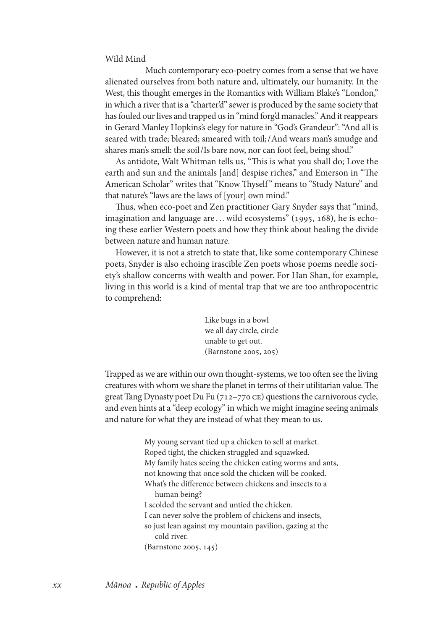# Wild Mind

 seared with trade; bleared; smeared with toil;/And wears man's smudge and shares man's smell: the soil /Is bare now, nor can foot feel, being shod." Much contemporary eco-poetry comes from a sense that we have alienated ourselves from both nature and, ultimately, our humanity. In the West, this thought emerges in the Romantics with William Blake's "London," in which a river that is a "charter'd" sewer is produced by the same society that has fouled our lives and trapped us in "mind forg'd manacles." And it reappears in Gerard Manley Hopkins's elegy for nature in "God's Grandeur": "And all is

As antidote, Walt Whitman tells us, "This is what you shall do; Love the earth and sun and the animals [and] despise riches," and Emerson in "The American Scholar" writes that "Know Thyself" means to "Study Nature" and that nature's "laws are the laws of [your] own mind."

Thus, when eco-poet and Zen practitioner Gary Snyder says that "mind, imagination and language are . . . wild ecosystems" (1995, 168), he is echoing these earlier Western poets and how they think about healing the divide between nature and human nature.

However, it is not a stretch to state that, like some contemporary Chinese poets, Snyder is also echoing irascible Zen poets whose poems needle society's shallow concerns with wealth and power. For Han Shan, for example, living in this world is a kind of mental trap that we are too anthropocentric to comprehend:

> Like bugs in a bowl we all day circle, circle unable to get out. (Barnstone 2005, 205)

Trapped as we are within our own thought-systems, we too often see the living creatures with whom we share the planet in terms of their utilitarian value. The great Tang Dynasty poet Du Fu (712–770 ce) questions the carnivorous cycle, and even hints at a "deep ecology" in which we might imagine seeing animals and nature for what they are instead of what they mean to us.

> My young servant tied up a chicken to sell at market. Roped tight, the chicken struggled and squawked. My family hates seeing the chicken eating worms and ants, not knowing that once sold the chicken will be cooked. What's the difference between chickens and insects to a human being? I scolded the servant and untied the chicken. I can never solve the problem of chickens and insects, so just lean against my mountain pavilion, gazing at the cold river. (Barnstone 2005, 145)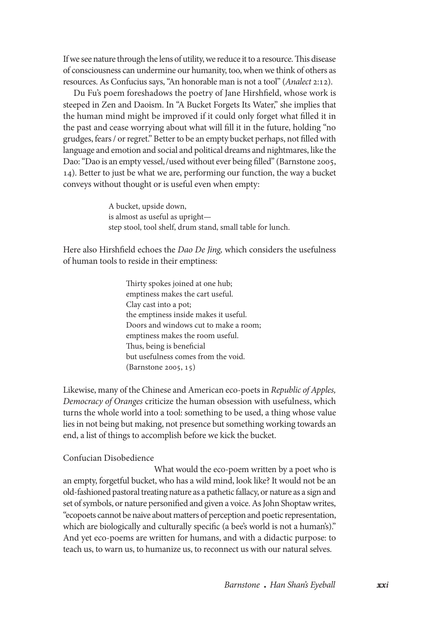If we see nature through the lens of utility, we reduce it to a resource. This disease of consciousness can undermine our humanity, too, when we think of others as resources. As Confucius says, "An honorable man is not a tool" (*Analect* 2:12).

 Dao: "Dao is an empty vessel, /used without ever being filled" (Barnstone 2005, Du Fu's poem foreshadows the poetry of Jane Hirshfield, whose work is steeped in Zen and Daoism. In "A Bucket Forgets Its Water," she implies that the human mind might be improved if it could only forget what filled it in the past and cease worrying about what will fill it in the future, holding "no grudges, fears / or regret." Better to be an empty bucket perhaps, not filled with language and emotion and social and political dreams and nightmares, like the 14). Better to just be what we are, performing our function, the way a bucket conveys without thought or is useful even when empty:

> A bucket, upside down, is almost as useful as upright step stool, tool shelf, drum stand, small table for lunch.

Here also Hirshfield echoes the *Dao De Jing,* which considers the usefulness of human tools to reside in their emptiness:

> Thirty spokes joined at one hub; emptiness makes the cart useful. Clay cast into a pot; the emptiness inside makes it useful. Doors and windows cut to make a room; emptiness makes the room useful. Thus, being is beneficial but usefulness comes from the void. (Barnstone 2005, 15)

Likewise, many of the Chinese and American eco-poets in *Republic of Apples, Democracy of Oranges* criticize the human obsession with usefulness, which turns the whole world into a tool: something to be used, a thing whose value lies in not being but making, not presence but something working towards an end, a list of things to accomplish before we kick the bucket.

# Confucian Disobedience

What would the eco-poem written by a poet who is an empty, forgetful bucket, who has a wild mind, look like? It would not be an old-fashioned pastoral treating nature as a pathetic fallacy, or nature as a sign and set of symbols, or nature personified and given a voice. As John Shoptaw writes, "ecopoets cannot be naive about matters of perception and poetic representation, which are biologically and culturally specific (a bee's world is not a human's)." And yet eco-poems are written for humans, and with a didactic purpose: to teach us, to warn us, to humanize us, to reconnect us with our natural selves.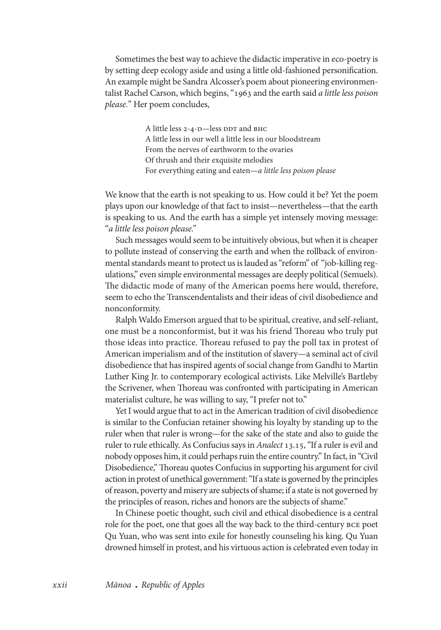Sometimes the best way to achieve the didactic imperative in eco-poetry is by setting deep ecology aside and using a little old-fashioned personification. An example might be Sandra Alcosser's poem about pioneering environmentalist Rachel Carson, which begins, "1963 and the earth said *a little less poison please.*" Her poem concludes,

> A little less 2-4-D-less DDT and BHC A little less in our well a little less in our bloodstream From the nerves of earthworm to the ovaries Of thrush and their exquisite melodies For everything eating and eaten—*a little less poison please*

We know that the earth is not speaking to us. How could it be? Yet the poem plays upon our knowledge of that fact to insist—nevertheless—that the earth is speaking to us. And the earth has a simple yet intensely moving message: "*a little less poison please."* 

Such messages would seem to be intuitively obvious, but when it is cheaper to pollute instead of conserving the earth and when the rollback of environmental standards meant to protect us is lauded as "reform" of "job-killing regulations," even simple environmental messages are deeply political (Semuels). The didactic mode of many of the American poems here would, therefore, seem to echo the Transcendentalists and their ideas of civil disobedience and nonconformity.

Ralph Waldo Emerson argued that to be spiritual, creative, and self-reliant, one must be a nonconformist, but it was his friend Thoreau who truly put those ideas into practice. Thoreau refused to pay the poll tax in protest of American imperialism and of the institution of slavery—a seminal act of civil disobedience that has inspired agents of social change from Gandhi to Martin Luther King Jr. to contemporary ecological activists. Like Melville's Bartleby the Scrivener, when Thoreau was confronted with participating in American materialist culture, he was willing to say, "I prefer not to."

Yet I would argue that to act in the American tradition of civil disobedience is similar to the Confucian retainer showing his loyalty by standing up to the ruler when that ruler is wrong—for the sake of the state and also to guide the ruler to rule ethically. As Confucius says in *Analect* 13.15, "If a ruler is evil and nobody opposes him, it could perhaps ruin the entire country." In fact, in "Civil Disobedience," Thoreau quotes Confucius in supporting his argument for civil action in protest of unethical government: "If a state is governed by the principles of reason, poverty and misery are subjects of shame; if a state is not governed by the principles of reason, riches and honors are the subjects of shame."

 role for the poet, one that goes all the way back to the third-century bce poet In Chinese poetic thought, such civil and ethical disobedience is a central Qu Yuan, who was sent into exile for honestly counseling his king. Qu Yuan drowned himself in protest, and his virtuous action is celebrated even today in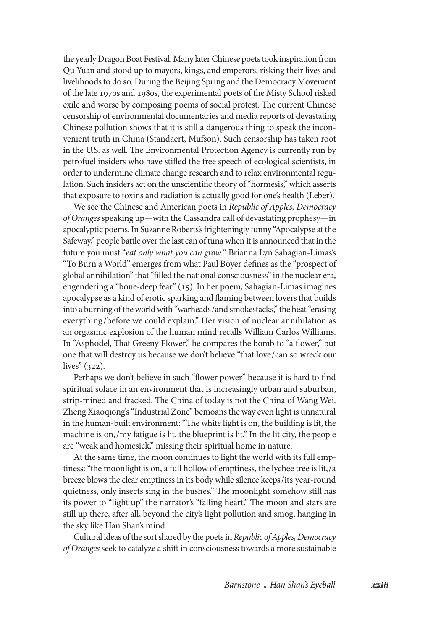the yearly Dragon Boat Festival. Many later Chinese poets took inspiration from Qu Yuan and stood up to mayors, kings, and emperors, risking their lives and livelihoods to do so. During the Beijing Spring and the Democracy Movement of the late 1970s and 1980s, the experimental poets of the Misty School risked exile and worse by composing poems of social protest. The current Chinese censorship of environmental documentaries and media reports of devastating Chinese pollution shows that it is still a dangerous thing to speak the inconvenient truth in China (Standaert, Mufson). Such censorship has taken root in the U.S. as well. The Environmental Protection Agency is currently run by petrofuel insiders who have stifled the free speech of ecological scientists, in order to undermine climate change research and to relax environmental regulation. Such insiders act on the unscientific theory of "hormesis," which asserts that exposure to toxins and radiation is actually good for one's health (Leber).

 into a burning of the world with "warheads/and smokestacks," the heat "erasing everything /before we could explain." Her vision of nuclear annihilation as one that will destroy us because we don't believe "that love /can so wreck our We see the Chinese and American poets in *Republic of Apples, Democracy of Oranges* speaking up—with the Cassandra call of devastating prophesy—in apocalyptic poems. In Suzanne Roberts's frighteningly funny "Apocalypse at the Safeway," people battle over the last can of tuna when it is announced that in the future you must "*eat only what you can grow.*" Brianna Lyn Sahagian-Limas's "To Burn a World" emerges from what Paul Boyer defines as the "prospect of global annihilation" that "filled the national consciousness" in the nuclear era, engendering a "bone-deep fear" (15). In her poem, Sahagian-Limas imagines apocalypse as a kind of erotic sparking and flaming between lovers that builds an orgasmic explosion of the human mind recalls William Carlos Williams. In "Asphodel, That Greeny Flower," he compares the bomb to "a flower," but lives" (322).

 machine is on, /my fatigue is lit, the blueprint is lit." In the lit city, the people Perhaps we don't believe in such "flower power" because it is hard to find spiritual solace in an environment that is increasingly urban and suburban, strip-mined and fracked. The China of today is not the China of Wang Wei. Zheng Xiaoqiong's "Industrial Zone" bemoans the way even light is unnatural in the human-built environment: "The white light is on, the building is lit, the are "weak and homesick," missing their spiritual home in nature.

 tiness: "the moonlight is on, a full hollow of emptiness, the lychee tree is lit,/a breeze blows the clear emptiness in its body while silence keeps /its year-round At the same time, the moon continues to light the world with its full empquietness, only insects sing in the bushes." The moonlight somehow still has its power to "light up" the narrator's "falling heart." The moon and stars are still up there, after all, beyond the city's light pollution and smog, hanging in the sky like Han Shan's mind.

Cultural ideas of the sort shared by the poets in *Republic of Apples, Democracy of Oranges* seek to catalyze a shift in consciousness towards a more sustainable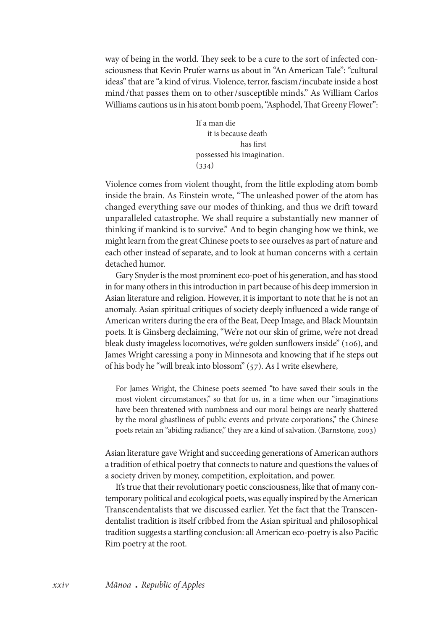ideas" that are "a kind of virus. Violence, terror, fascism /incubate inside a host mind /that passes them on to other /susceptible minds." As William Carlos way of being in the world. They seek to be a cure to the sort of infected consciousness that Kevin Prufer warns us about in "An American Tale": "cultural Williams cautions us in his atom bomb poem, "Asphodel, That Greeny Flower":

> If a man die it is because death has first possessed his imagination.  $(334)$

Violence comes from violent thought, from the little exploding atom bomb inside the brain. As Einstein wrote, "The unleashed power of the atom has changed everything save our modes of thinking, and thus we drift toward unparalleled catastrophe. We shall require a substantially new manner of thinking if mankind is to survive." And to begin changing how we think, we might learn from the great Chinese poets to see ourselves as part of nature and each other instead of separate, and to look at human concerns with a certain detached humor.

 in for many others in this introduction in part because of his deep immersion in Gary Snyder is the most prominent eco-poet of his generation, and has stood Asian literature and religion. However, it is important to note that he is not an anomaly. Asian spiritual critiques of society deeply influenced a wide range of American writers during the era of the Beat, Deep Image, and Black Mountain poets. It is Ginsberg declaiming, "We're not our skin of grime, we're not dread bleak dusty imageless locomotives, we're golden sunflowers inside" (106), and James Wright caressing a pony in Minnesota and knowing that if he steps out of his body he "will break into blossom" (57). As I write elsewhere,

For James Wright, the Chinese poets seemed "to have saved their souls in the most violent circumstances," so that for us, in a time when our "imaginations have been threatened with numbness and our moral beings are nearly shattered by the moral ghastliness of public events and private corporations," the Chinese poets retain an "abiding radiance," they are a kind of salvation. (Barnstone, 2003)

 Asian literature gave Wright and succeeding generations of American authors a tradition of ethical poetry that connects to nature and questions the values of a society driven by money, competition, exploitation, and power.

It's true that their revolutionary poetic consciousness, like that of many contemporary political and ecological poets, was equally inspired by the American Transcendentalists that we discussed earlier. Yet the fact that the Transcendentalist tradition is itself cribbed from the Asian spiritual and philosophical tradition suggests a startling conclusion: all American eco-poetry is also Pacific Rim poetry at the root.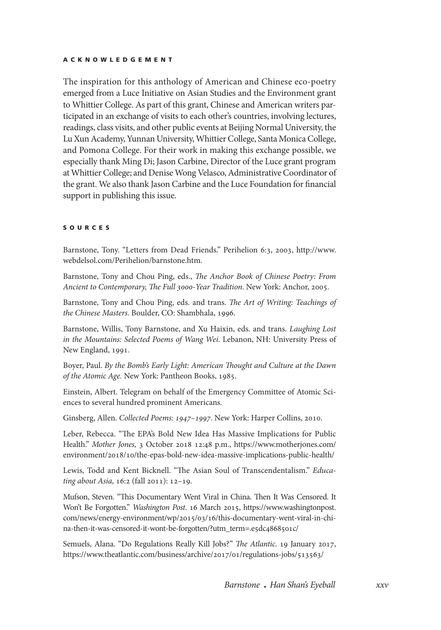# ACKNOWLEDGEMENT

The inspiration for this anthology of American and Chinese eco-poetry emerged from a Luce Initiative on Asian Studies and the Environment grant to Whittier College. As part of this grant, Chinese and American writers participated in an exchange of visits to each other's countries, involving lectures, readings, class visits, and other public events at Beijing Normal University, the Lu Xun Academy, Yunnan University, Whittier College, Santa Monica College, and Pomona College. For their work in making this exchange possible, we especially thank Ming Di; Jason Carbine, Director of the Luce grant program at Whittier College; and Denise Wong Velasco, Administrative Coordinator of the grant. We also thank Jason Carbine and the Luce Foundation for financial support in publishing this issue.

# **SOURCES**

Barnstone, Tony. "Letters from Dead Friends." Perihelion 6:3, 2003, http://www. webdelsol.com/Perihelion/barnstone.htm.

Barnstone, Tony and Chou Ping, eds., *The Anchor Book of Chinese Poetry: From Ancient to Contemporary, The Full 3000-Year Tradition*. New York: Anchor, 2005.

Barnstone, Tony and Chou Ping, eds. and trans. *The Art of Writing: Teachings of the Chinese Masters*. Boulder, CO: Shambhala, 1996.

Barnstone, Willis, Tony Barnstone, and Xu Haixin, eds. and trans. *Laughing Lost in the Mountains: Selected Poems of Wang Wei*. Lebanon, NH: University Press of New England, 1991.

Boyer, Paul. *By the Bomb's Early Light: American Thought and Culture at the Dawn of the Atomic Age.* New York: Pantheon Books, 1985.

Einstein, Albert. Telegram on behalf of the Emergency Committee of Atomic Sciences to several hundred prominent Americans.

Ginsberg, Allen. *Collected Poems: 1947–1997.* New York: Harper Collins, 2010.

Leber, Rebecca. "The EPA's Bold New Idea Has Massive Implications for Public Health." *Mother Jones,* 3 October 2018 12:48 p.m., https://www.motherjones.com/ environment/2018/10/the-epas-bold-new-idea-massive-implications-public-health/

Lewis, Todd and Kent Bicknell. "The Asian Soul of Transcendentalism." *Educa ting about Asia,* 16:2 (fall 2011): 12–19.

Mufson, Steven. "This Documentary Went Viral in China. Then It Was Censored. It Won't Be Forgotten." *Washington Post*. 16 March 2015, https://www.washingtonpost. com/news/energy-environment/wp/2015/03/16/this-documentary-went-viral-in-china-then-it-was-censored-it-wont-be-forgotten/?utm\_term=.e5dc4868501c/

Semuels, Alana. "Do Regulations Really Kill Jobs?" *The Atlantic*. 19 January 2017, https://www.theatlantic.com/business/archive/2017/01/regulations-jobs/513563/